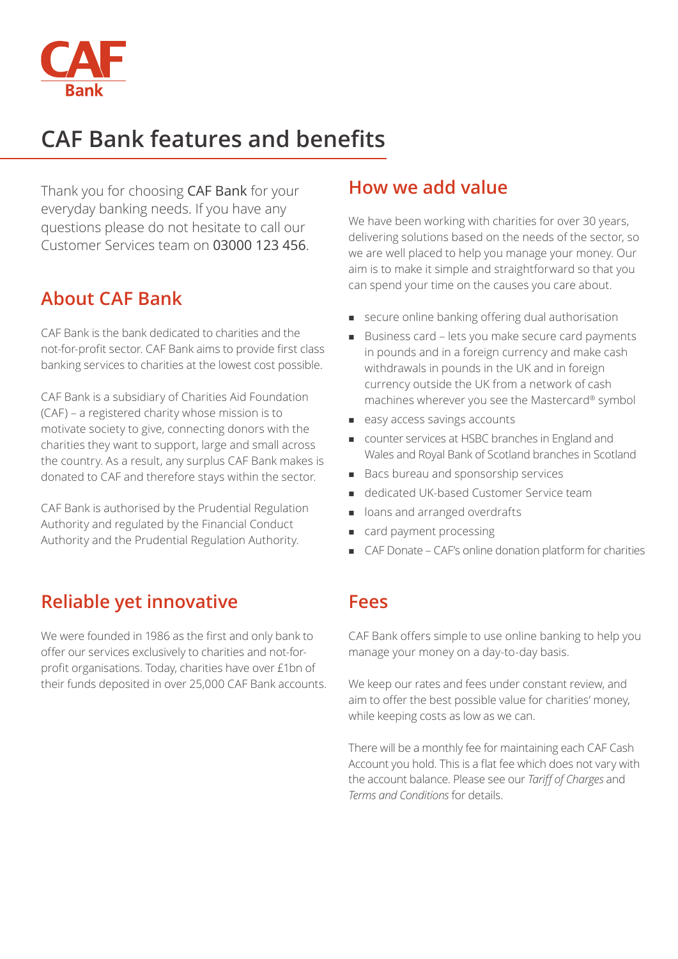

# **CAF Bank features and benefits**

Thank you for choosing CAF Bank for your everyday banking needs. If you have any questions please do not hesitate to call our Customer Services team on 03000 123 456.

### **About CAF Bank**

CAF Bank is the bank dedicated to charities and the not-for-profit sector. CAF Bank aims to provide first class banking services to charities at the lowest cost possible.

CAF Bank is a subsidiary of Charities Aid Foundation (CAF) – a registered charity whose mission is to motivate society to give, connecting donors with the charities they want to support, large and small across the country. As a result, any surplus CAF Bank makes is donated to CAF and therefore stays within the sector.

CAF Bank is authorised by the Prudential Regulation Authority and regulated by the Financial Conduct Authority and the Prudential Regulation Authority.

# **Reliable yet innovative**

We were founded in 1986 as the first and only bank to offer our services exclusively to charities and not-forprofit organisations. Today, charities have over £1bn of their funds deposited in over 25,000 CAF Bank accounts.

### **How we add value**

We have been working with charities for over 30 years, delivering solutions based on the needs of the sector, so we are well placed to help you manage your money. Our aim is to make it simple and straightforward so that you can spend your time on the causes you care about.

- **n** secure online banking offering dual authorisation
- Business card lets you make secure card payments in pounds and in a foreign currency and make cash withdrawals in pounds in the UK and in foreign currency outside the UK from a network of cash machines wherever you see the Mastercard® symbol
- easy access savings accounts
- <sup>n</sup> counter services at HSBC branches in England and Wales and Royal Bank of Scotland branches in Scotland
- Bacs bureau and sponsorship services
- <sup>n</sup> dedicated UK-based Customer Service team
- o loans and arranged overdrafts
- card payment processing
- <sup>n</sup> CAF Donate CAF's online donation platform for charities

### **Fees**

CAF Bank offers simple to use online banking to help you manage your money on a day-to-day basis.

We keep our rates and fees under constant review, and aim to offer the best possible value for charities' money, while keeping costs as low as we can.

There will be a monthly fee for maintaining each CAF Cash Account you hold. This is a flat fee which does not vary with the account balance. Please see our *Tariff of Charges* and *Terms and Conditions* for details.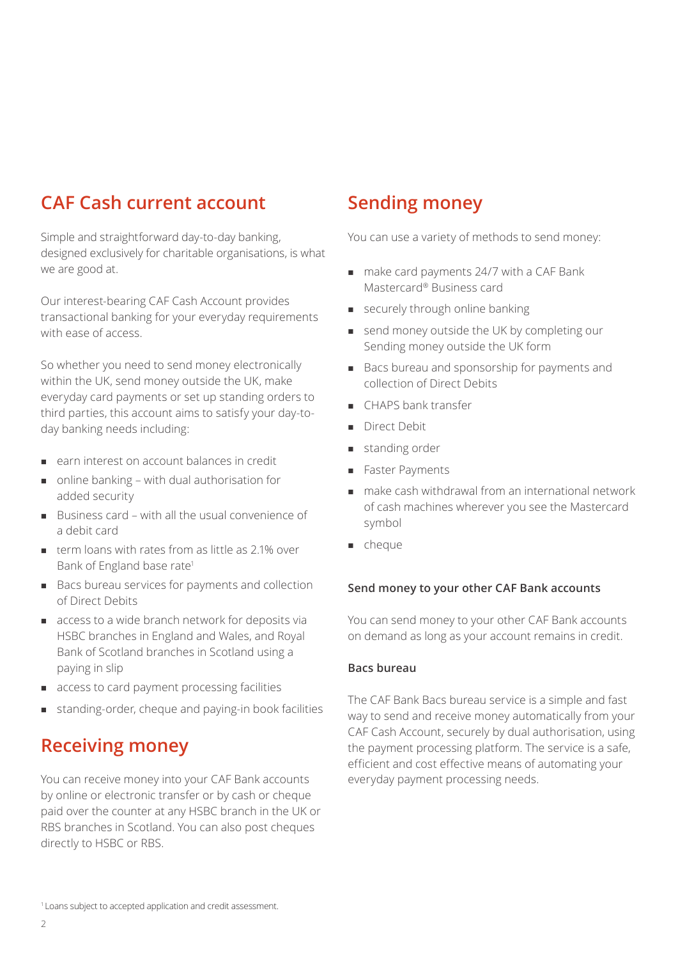# **CAF Cash current account**

Simple and straightforward day-to-day banking, designed exclusively for charitable organisations, is what we are good at.

Our interest-bearing CAF Cash Account provides transactional banking for your everyday requirements with ease of access.

So whether you need to send money electronically within the UK, send money outside the UK, make everyday card payments or set up standing orders to third parties, this account aims to satisfy your day-today banking needs including:

- <sup>n</sup> earn interest on account balances in credit
- $\Box$  online banking with dual authorisation for added security
- $B$ usiness card with all the usual convenience of a debit card
- $\blacksquare$  term loans with rates from as little as 2.1% over Bank of England base rate<sup>1</sup>
- <sup>n</sup> Bacs bureau services for payments and collection of Direct Debits
- $a$  access to a wide branch network for deposits via HSBC branches in England and Wales, and Royal Bank of Scotland branches in Scotland using a paying in slip
- $\blacksquare$  access to card payment processing facilities
- <sup>n</sup> standing-order, cheque and paying-in book facilities

### **Receiving money**

You can receive money into your CAF Bank accounts by online or electronic transfer or by cash or cheque paid over the counter at any HSBC branch in the UK or RBS branches in Scotland. You can also post cheques directly to HSBC or RBS.

### **Sending money**

You can use a variety of methods to send money:

- $m$  make card payments 24/7 with a CAF Bank Mastercard® Business card
- **n** securely through online banking
- send money outside the UK by completing our Sending money outside the UK form
- Bacs bureau and sponsorship for payments and collection of Direct Debits
- <sup>n</sup> CHAPS bank transfer
- Direct Debit
- standing order
- Faster Payments
- n make cash withdrawal from an international network of cash machines wherever you see the Mastercard symbol
- <sup>n</sup> cheque

#### **Send money to your other CAF Bank accounts**

You can send money to your other CAF Bank accounts on demand as long as your account remains in credit.

#### **Bacs bureau**

The CAF Bank Bacs bureau service is a simple and fast way to send and receive money automatically from your CAF Cash Account, securely by dual authorisation, using the payment processing platform. The service is a safe, efficient and cost effective means of automating your everyday payment processing needs.

1 Loans subject to accepted application and credit assessment.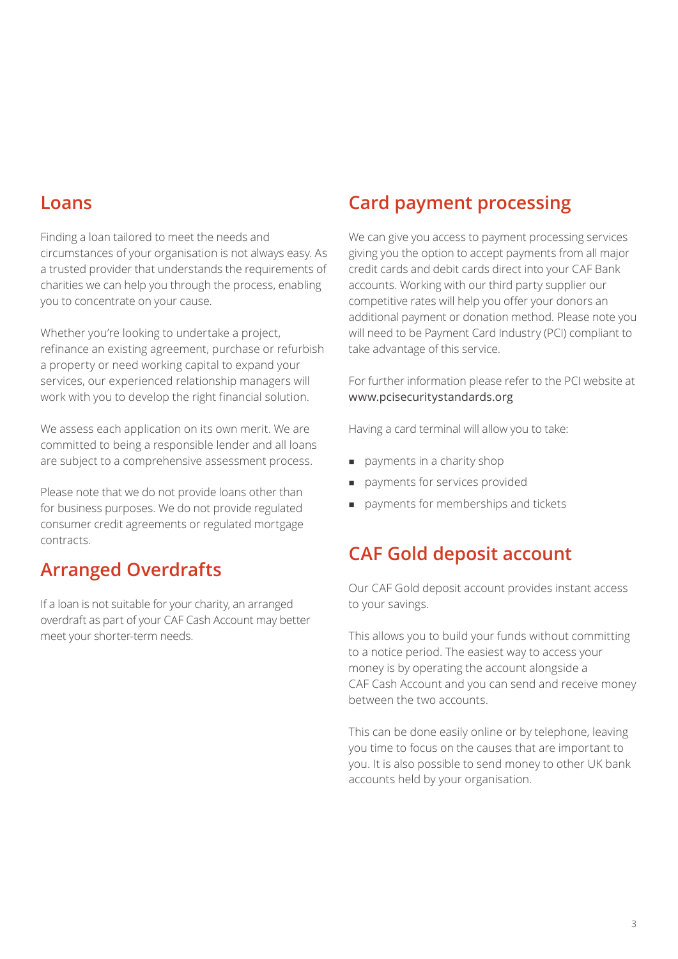### **Loans**

Finding a loan tailored to meet the needs and circumstances of your organisation is not always easy. As a trusted provider that understands the requirements of charities we can help you through the process, enabling you to concentrate on your cause.

Whether you're looking to undertake a project, refinance an existing agreement, purchase or refurbish a property or need working capital to expand your services, our experienced relationship managers will work with you to develop the right financial solution.

We assess each application on its own merit. We are committed to being a responsible lender and all loans are subject to a comprehensive assessment process.

Please note that we do not provide loans other than for business purposes. We do not provide regulated consumer credit agreements or regulated mortgage contracts.

# **Arranged Overdrafts**

If a loan is not suitable for your charity, an arranged overdraft as part of your CAF Cash Account may better meet your shorter-term needs.

# **Card payment processing**

We can give you access to payment processing services giving you the option to accept payments from all major credit cards and debit cards direct into your CAF Bank accounts. Working with our third party supplier our competitive rates will help you offer your donors an additional payment or donation method. Please note you will need to be Payment Card Industry (PCI) compliant to take advantage of this service.

For further information please refer to the PCI website at www.pcisecuritystandards.org

Having a card terminal will allow you to take:

- payments in a charity shop
- payments for services provided
- payments for memberships and tickets

# **CAF Gold deposit account**

Our CAF Gold deposit account provides instant access to your savings.

This allows you to build your funds without committing to a notice period. The easiest way to access your money is by operating the account alongside a CAF Cash Account and you can send and receive money between the two accounts.

This can be done easily online or by telephone, leaving you time to focus on the causes that are important to you. It is also possible to send money to other UK bank accounts held by your organisation.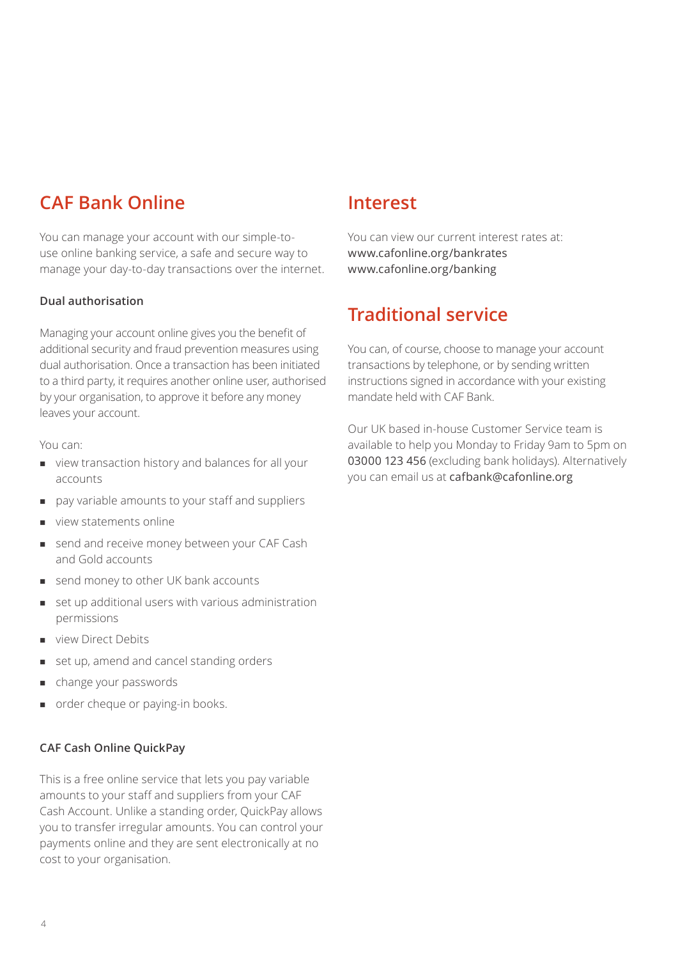# **CAF Bank Online**

You can manage your account with our simple-touse online banking service, a safe and secure way to manage your day-to-day transactions over the internet.

### **Dual authorisation**

Managing your account online gives you the benefit of additional security and fraud prevention measures using dual authorisation. Once a transaction has been initiated to a third party, it requires another online user, authorised by your organisation, to approve it before any money leaves your account.

You can:

- <sup>n</sup> view transaction history and balances for all your accounts
- pay variable amounts to your staff and suppliers
- view statements online
- send and receive money between your CAF Cash and Gold accounts
- send money to other UK bank accounts
- set up additional users with various administration permissions
- view Direct Debits
- set up, amend and cancel standing orders
- change your passwords
- order cheque or paying-in books.

### **CAF Cash Online QuickPay**

This is a free online service that lets you pay variable amounts to your staff and suppliers from your CAF Cash Account. Unlike a standing order, QuickPay allows you to transfer irregular amounts. You can control your payments online and they are sent electronically at no cost to your organisation.

### **Interest**

You can view our current interest rates at: www.cafonline.org/bankrates www.cafonline.org/banking

### **Traditional service**

You can, of course, choose to manage your account transactions by telephone, or by sending written instructions signed in accordance with your existing mandate held with CAF Bank.

Our UK based in-house Customer Service team is available to help you Monday to Friday 9am to 5pm on 03000 123 456 (excluding bank holidays). Alternatively you can email us at cafbank@cafonline.org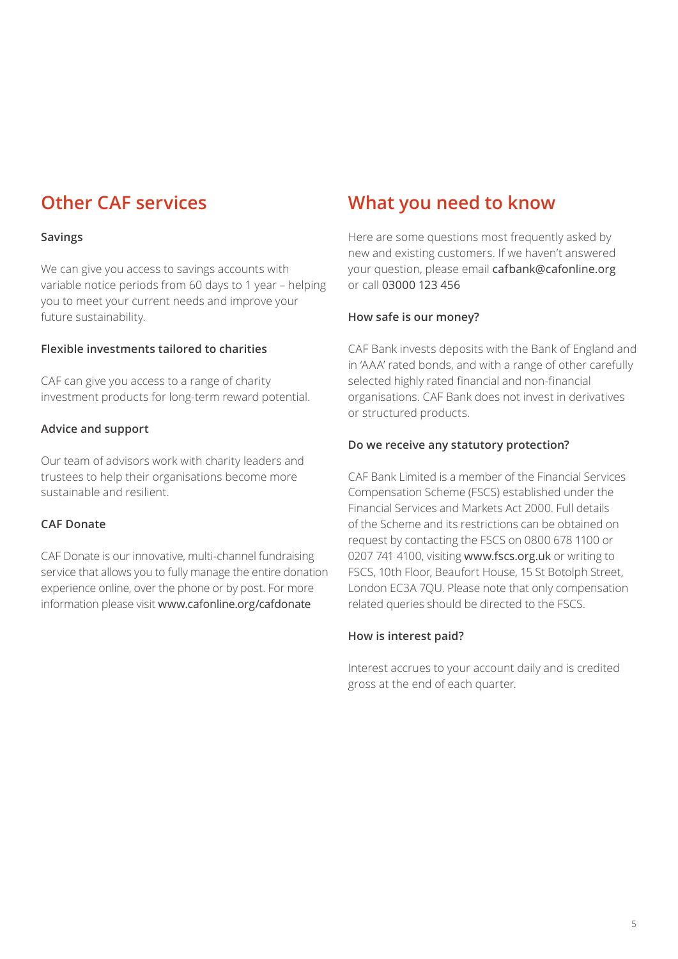# **Other CAF services**

### **Savings**

We can give you access to savings accounts with variable notice periods from 60 days to 1 year – helping you to meet your current needs and improve your future sustainability.

### **Flexible investments tailored to charities**

CAF can give you access to a range of charity investment products for long-term reward potential.

### **Advice and support**

Our team of advisors work with charity leaders and trustees to help their organisations become more sustainable and resilient.

### **CAF Donate**

CAF Donate is our innovative, multi-channel fundraising service that allows you to fully manage the entire donation experience online, over the phone or by post. For more information please visit www.cafonline.org/cafdonate

# **What you need to know**

Here are some questions most frequently asked by new and existing customers. If we haven't answered your question, please email cafbank@cafonline.org or call 03000 123 456

### **How safe is our money?**

CAF Bank invests deposits with the Bank of England and in 'AAA' rated bonds, and with a range of other carefully selected highly rated financial and non-financial organisations. CAF Bank does not invest in derivatives or structured products.

### **Do we receive any statutory protection?**

CAF Bank Limited is a member of the Financial Services Compensation Scheme (FSCS) established under the Financial Services and Markets Act 2000. Full details of the Scheme and its restrictions can be obtained on request by contacting the FSCS on 0800 678 1100 or 0207 741 4100, visiting www.fscs.org.uk or writing to FSCS, 10th Floor, Beaufort House, 15 St Botolph Street, London EC3A 7QU. Please note that only compensation related queries should be directed to the FSCS.

### **How is interest paid?**

Interest accrues to your account daily and is credited gross at the end of each quarter.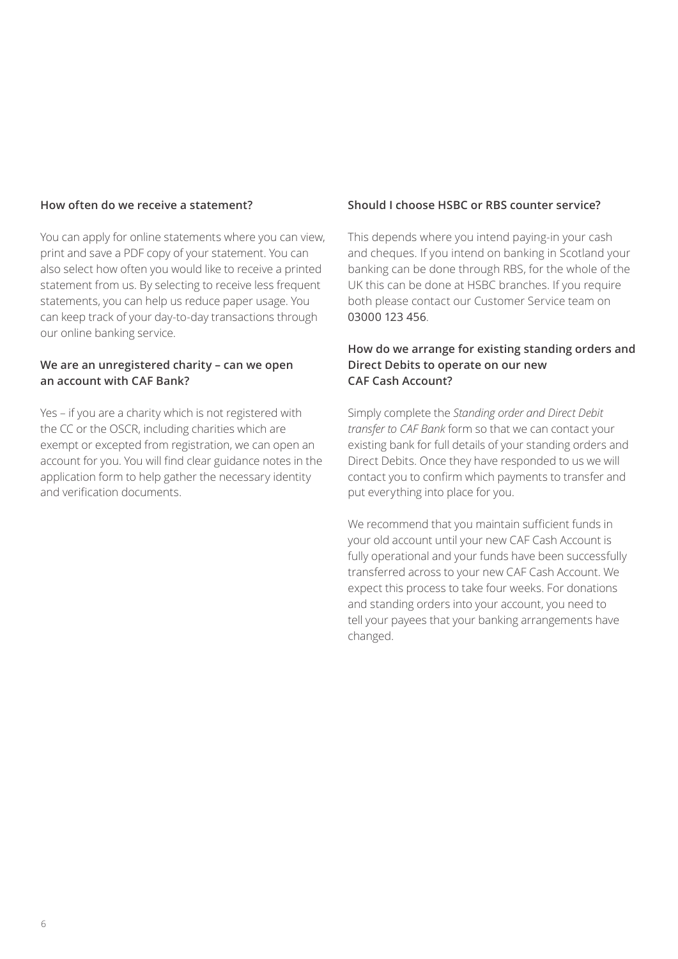#### **How often do we receive a statement?**

You can apply for online statements where you can view, print and save a PDF copy of your statement. You can also select how often you would like to receive a printed statement from us. By selecting to receive less frequent statements, you can help us reduce paper usage. You can keep track of your day-to-day transactions through our online banking service.

#### **We are an unregistered charity – can we open an account with CAF Bank?**

Yes – if you are a charity which is not registered with the CC or the OSCR, including charities which are exempt or excepted from registration, we can open an account for you. You will find clear guidance notes in the application form to help gather the necessary identity and verification documents.

#### **Should I choose HSBC or RBS counter service?**

This depends where you intend paying-in your cash and cheques. If you intend on banking in Scotland your banking can be done through RBS, for the whole of the UK this can be done at HSBC branches. If you require both please contact our Customer Service team on 03000 123 456.

### **How do we arrange for existing standing orders and Direct Debits to operate on our new CAF Cash Account?**

Simply complete the *Standing order and Direct Debit transfer to CAF Bank* form so that we can contact your existing bank for full details of your standing orders and Direct Debits. Once they have responded to us we will contact you to confirm which payments to transfer and put everything into place for you.

We recommend that you maintain sufficient funds in your old account until your new CAF Cash Account is fully operational and your funds have been successfully transferred across to your new CAF Cash Account. We expect this process to take four weeks. For donations and standing orders into your account, you need to tell your payees that your banking arrangements have changed.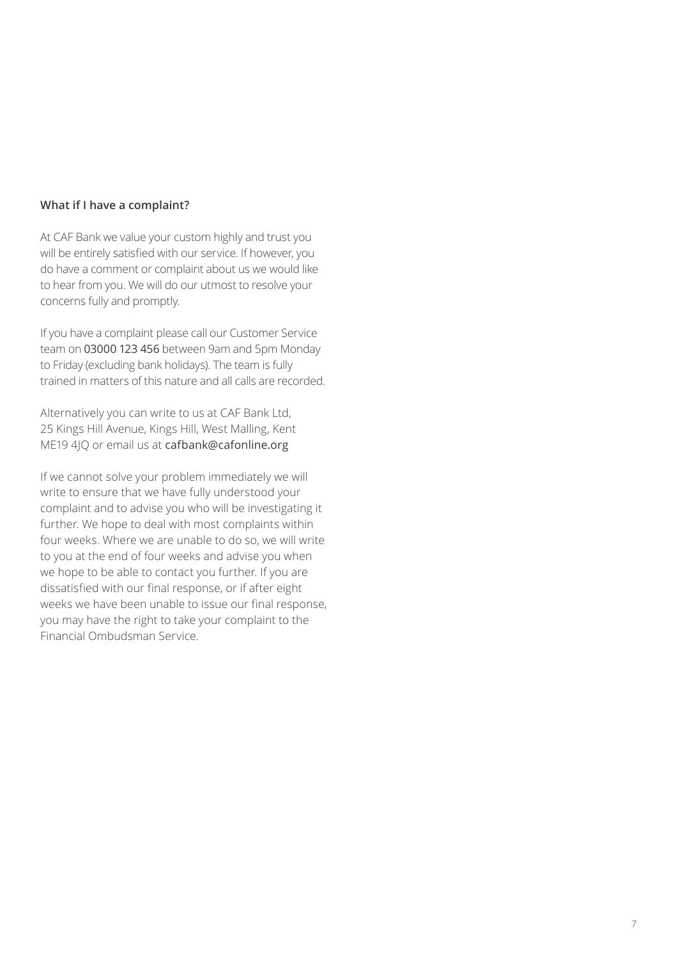#### **What if I have a complaint?**

At CAF Bank we value your custom highly and trust you will be entirely satisfied with our service. If however, you do have a comment or complaint about us we would like to hear from you. We will do our utmost to resolve your concerns fully and promptly.

If you have a complaint please call our Customer Service team on 03000 123 456 between 9am and 5pm Monday to Friday (excluding bank holidays). The team is fully trained in matters of this nature and all calls are recorded.

Alternatively you can write to us at CAF Bank Ltd, 25 Kings Hill Avenue, Kings Hill, West Malling, Kent ME19 4JQ or email us at cafbank@cafonline.org

If we cannot solve your problem immediately we will write to ensure that we have fully understood your complaint and to advise you who will be investigating it further. We hope to deal with most complaints within four weeks. Where we are unable to do so, we will write to you at the end of four weeks and advise you when we hope to be able to contact you further. If you are dissatisfied with our final response, or if after eight weeks we have been unable to issue our final response, you may have the right to take your complaint to the Financial Ombudsman Service.